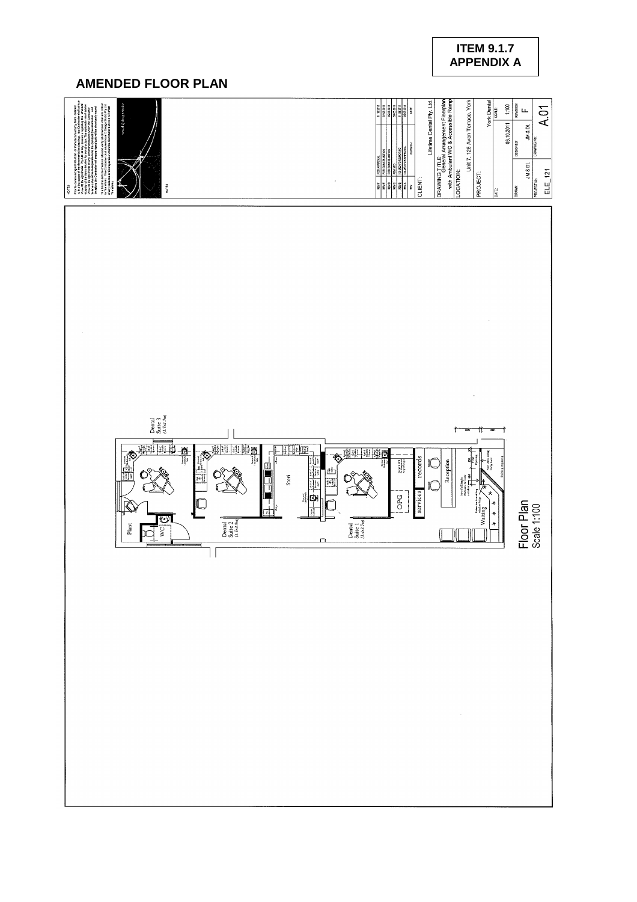# **ITEM 9.1.7 APPENDIX A**

# **AMENDED FLOOR PLAN**

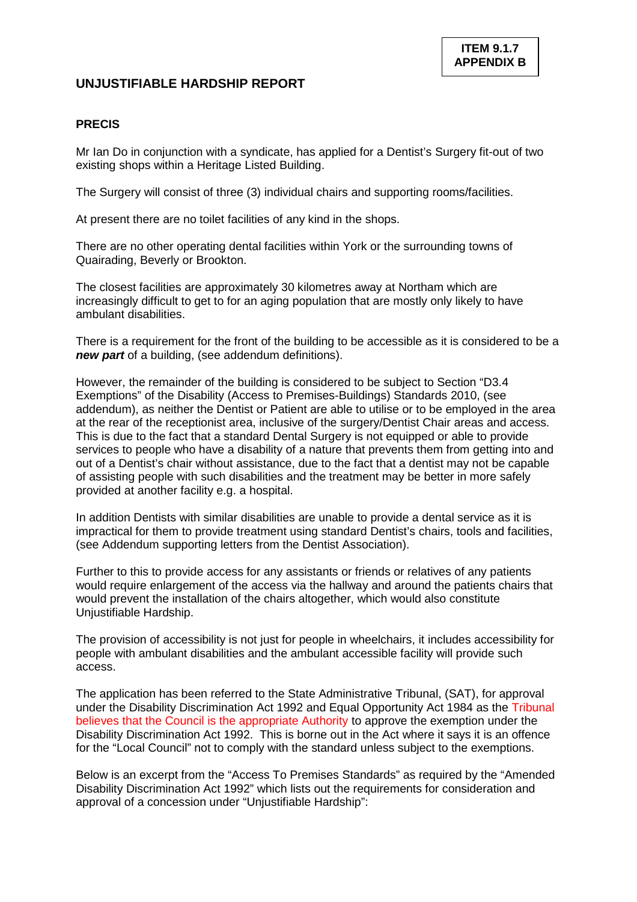# **UNJUSTIFIABLE HARDSHIP REPORT**

## **PRECIS**

Mr Ian Do in conjunction with a syndicate, has applied for a Dentist's Surgery fit-out of two existing shops within a Heritage Listed Building.

The Surgery will consist of three (3) individual chairs and supporting rooms/facilities.

At present there are no toilet facilities of any kind in the shops.

There are no other operating dental facilities within York or the surrounding towns of Quairading, Beverly or Brookton.

The closest facilities are approximately 30 kilometres away at Northam which are increasingly difficult to get to for an aging population that are mostly only likely to have ambulant disabilities.

There is a requirement for the front of the building to be accessible as it is considered to be a *new part* of a building, (see addendum definitions).

However, the remainder of the building is considered to be subject to Section "D3.4 Exemptions" of the Disability (Access to Premises-Buildings) Standards 2010, (see addendum), as neither the Dentist or Patient are able to utilise or to be employed in the area at the rear of the receptionist area, inclusive of the surgery/Dentist Chair areas and access. This is due to the fact that a standard Dental Surgery is not equipped or able to provide services to people who have a disability of a nature that prevents them from getting into and out of a Dentist's chair without assistance, due to the fact that a dentist may not be capable of assisting people with such disabilities and the treatment may be better in more safely provided at another facility e.g. a hospital.

In addition Dentists with similar disabilities are unable to provide a dental service as it is impractical for them to provide treatment using standard Dentist's chairs, tools and facilities, (see Addendum supporting letters from the Dentist Association).

Further to this to provide access for any assistants or friends or relatives of any patients would require enlargement of the access via the hallway and around the patients chairs that would prevent the installation of the chairs altogether, which would also constitute Unjustifiable Hardship.

The provision of accessibility is not just for people in wheelchairs, it includes accessibility for people with ambulant disabilities and the ambulant accessible facility will provide such access.

The application has been referred to the State Administrative Tribunal, (SAT), for approval under the Disability Discrimination Act 1992 and Equal Opportunity Act 1984 as the Tribunal believes that the Council is the appropriate Authority to approve the exemption under the Disability Discrimination Act 1992. This is borne out in the Act where it says it is an offence for the "Local Council" not to comply with the standard unless subject to the exemptions.

Below is an excerpt from the "Access To Premises Standards" as required by the "Amended Disability Discrimination Act 1992" which lists out the requirements for consideration and approval of a concession under "Unjustifiable Hardship":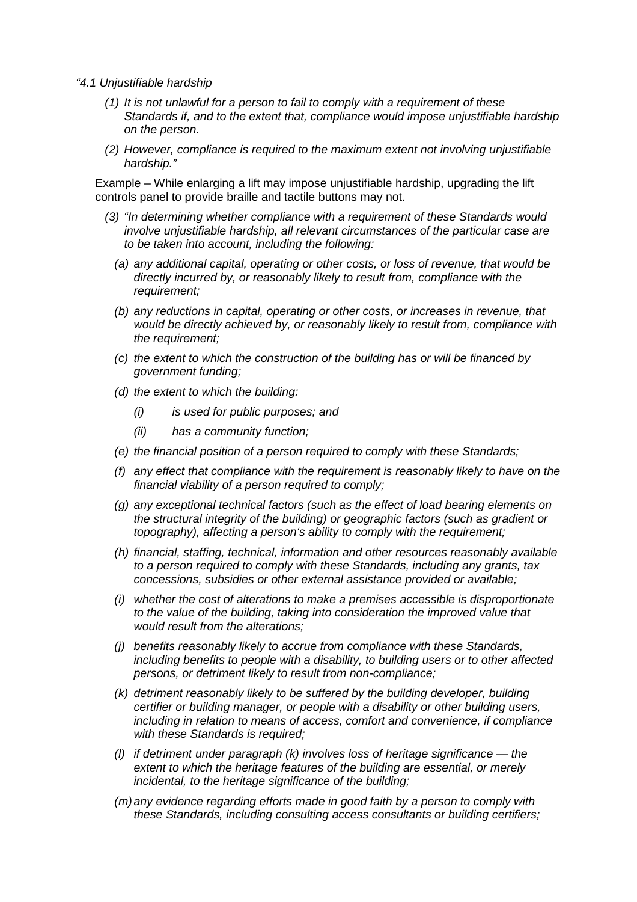- *"4.1 Unjustifiable hardship*
	- *(1) It is not unlawful for a person to fail to comply with a requirement of these Standards if, and to the extent that, compliance would impose unjustifiable hardship on the person.*
	- *(2) However, compliance is required to the maximum extent not involving unjustifiable hardship."*

Example – While enlarging a lift may impose unjustifiable hardship, upgrading the lift controls panel to provide braille and tactile buttons may not.

- *(3) "In determining whether compliance with a requirement of these Standards would involve unjustifiable hardship, all relevant circumstances of the particular case are to be taken into account, including the following:*
	- *(a) any additional capital, operating or other costs, or loss of revenue, that would be directly incurred by, or reasonably likely to result from, compliance with the requirement;*
	- *(b) any reductions in capital, operating or other costs, or increases in revenue, that would be directly achieved by, or reasonably likely to result from, compliance with the requirement;*
	- *(c) the extent to which the construction of the building has or will be financed by government funding;*
	- *(d) the extent to which the building:*
		- *(i) is used for public purposes; and*
		- *(ii) has a community function;*
	- *(e) the financial position of a person required to comply with these Standards;*
	- *(f) any effect that compliance with the requirement is reasonably likely to have on the financial viability of a person required to comply;*
	- *(g) any exceptional technical factors (such as the effect of load bearing elements on the structural integrity of the building) or geographic factors (such as gradient or topography), affecting a person's ability to comply with the requirement;*
	- *(h) financial, staffing, technical, information and other resources reasonably available to a person required to comply with these Standards, including any grants, tax concessions, subsidies or other external assistance provided or available;*
	- *(i) whether the cost of alterations to make a premises accessible is disproportionate to the value of the building, taking into consideration the improved value that would result from the alterations;*
	- *(j) benefits reasonably likely to accrue from compliance with these Standards, including benefits to people with a disability, to building users or to other affected persons, or detriment likely to result from non-compliance;*
	- *(k) detriment reasonably likely to be suffered by the building developer, building certifier or building manager, or people with a disability or other building users, including in relation to means of access, comfort and convenience, if compliance with these Standards is required;*
	- *(l) if detriment under paragraph (k) involves loss of heritage significance the extent to which the heritage features of the building are essential, or merely incidental, to the heritage significance of the building;*
	- *(m)any evidence regarding efforts made in good faith by a person to comply with these Standards, including consulting access consultants or building certifiers;*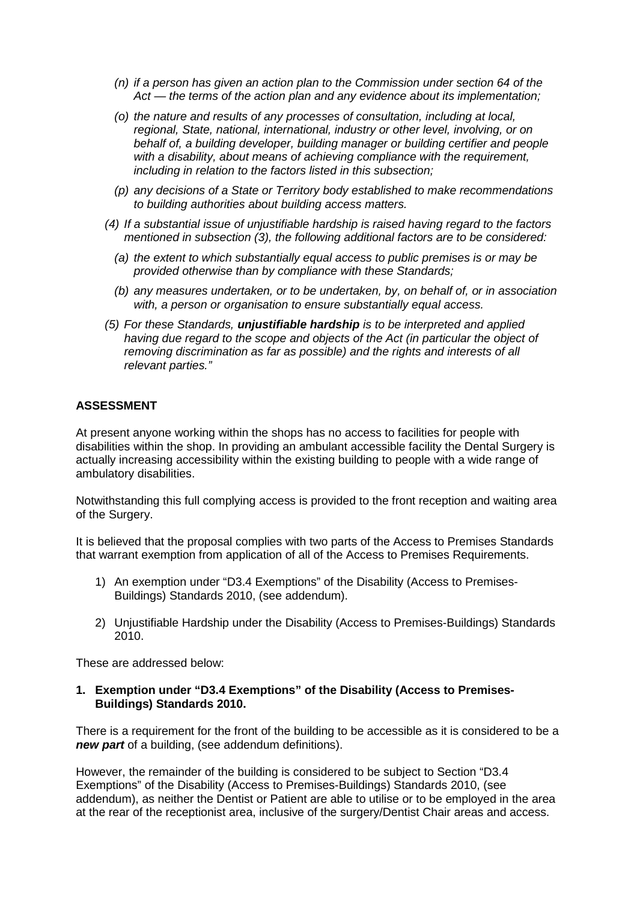- *(n) if a person has given an action plan to the Commission under section 64 of the Act — the terms of the action plan and any evidence about its implementation;*
- *(o) the nature and results of any processes of consultation, including at local, regional, State, national, international, industry or other level, involving, or on behalf of, a building developer, building manager or building certifier and people with a disability, about means of achieving compliance with the requirement, including in relation to the factors listed in this subsection;*
- *(p) any decisions of a State or Territory body established to make recommendations to building authorities about building access matters.*
- *(4) If a substantial issue of unjustifiable hardship is raised having regard to the factors mentioned in subsection (3), the following additional factors are to be considered:*
	- *(a) the extent to which substantially equal access to public premises is or may be provided otherwise than by compliance with these Standards;*
	- *(b) any measures undertaken, or to be undertaken, by, on behalf of, or in association with, a person or organisation to ensure substantially equal access.*
- *(5) For these Standards, unjustifiable hardship is to be interpreted and applied having due regard to the scope and objects of the Act (in particular the object of removing discrimination as far as possible) and the rights and interests of all relevant parties."*

## **ASSESSMENT**

At present anyone working within the shops has no access to facilities for people with disabilities within the shop. In providing an ambulant accessible facility the Dental Surgery is actually increasing accessibility within the existing building to people with a wide range of ambulatory disabilities.

Notwithstanding this full complying access is provided to the front reception and waiting area of the Surgery.

It is believed that the proposal complies with two parts of the Access to Premises Standards that warrant exemption from application of all of the Access to Premises Requirements.

- 1) An exemption under "D3.4 Exemptions" of the Disability (Access to Premises-Buildings) Standards 2010, (see addendum).
- 2) Unjustifiable Hardship under the Disability (Access to Premises-Buildings) Standards 2010.

These are addressed below:

#### **1. Exemption under "D3.4 Exemptions" of the Disability (Access to Premises-Buildings) Standards 2010.**

There is a requirement for the front of the building to be accessible as it is considered to be a *new part* of a building, (see addendum definitions).

However, the remainder of the building is considered to be subject to Section "D3.4 Exemptions" of the Disability (Access to Premises-Buildings) Standards 2010, (see addendum), as neither the Dentist or Patient are able to utilise or to be employed in the area at the rear of the receptionist area, inclusive of the surgery/Dentist Chair areas and access.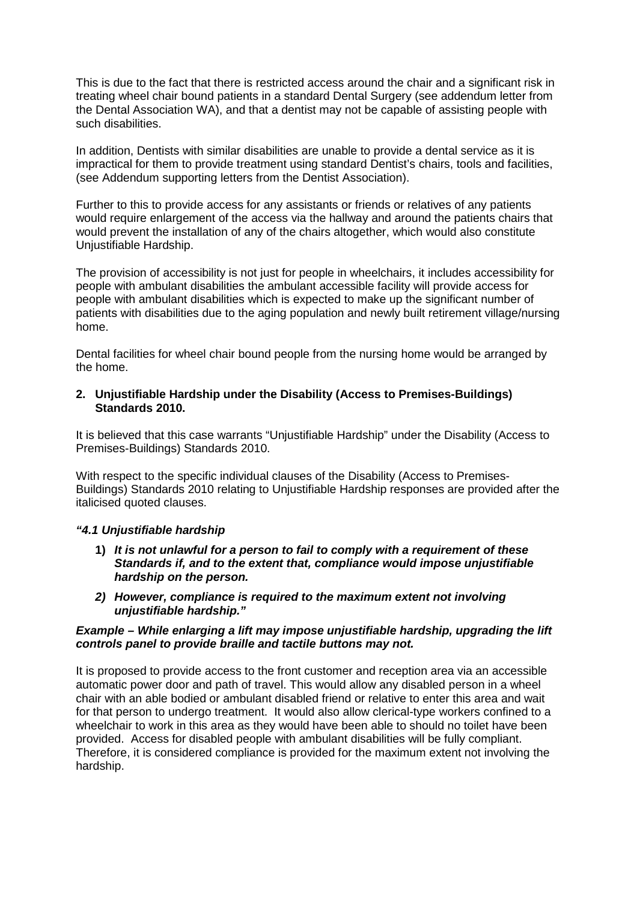This is due to the fact that there is restricted access around the chair and a significant risk in treating wheel chair bound patients in a standard Dental Surgery (see addendum letter from the Dental Association WA), and that a dentist may not be capable of assisting people with such disabilities.

In addition, Dentists with similar disabilities are unable to provide a dental service as it is impractical for them to provide treatment using standard Dentist's chairs, tools and facilities, (see Addendum supporting letters from the Dentist Association).

Further to this to provide access for any assistants or friends or relatives of any patients would require enlargement of the access via the hallway and around the patients chairs that would prevent the installation of any of the chairs altogether, which would also constitute Unjustifiable Hardship.

The provision of accessibility is not just for people in wheelchairs, it includes accessibility for people with ambulant disabilities the ambulant accessible facility will provide access for people with ambulant disabilities which is expected to make up the significant number of patients with disabilities due to the aging population and newly built retirement village/nursing home.

Dental facilities for wheel chair bound people from the nursing home would be arranged by the home.

### **2. Unjustifiable Hardship under the Disability (Access to Premises-Buildings) Standards 2010.**

It is believed that this case warrants "Unjustifiable Hardship" under the Disability (Access to Premises-Buildings) Standards 2010.

With respect to the specific individual clauses of the Disability (Access to Premises-Buildings) Standards 2010 relating to Unjustifiable Hardship responses are provided after the italicised quoted clauses.

### *"4.1 Unjustifiable hardship*

- **1)** *It is not unlawful for a person to fail to comply with a requirement of these Standards if, and to the extent that, compliance would impose unjustifiable hardship on the person.*
- *2) However, compliance is required to the maximum extent not involving unjustifiable hardship."*

#### *Example – While enlarging a lift may impose unjustifiable hardship, upgrading the lift controls panel to provide braille and tactile buttons may not.*

It is proposed to provide access to the front customer and reception area via an accessible automatic power door and path of travel. This would allow any disabled person in a wheel chair with an able bodied or ambulant disabled friend or relative to enter this area and wait for that person to undergo treatment. It would also allow clerical-type workers confined to a wheelchair to work in this area as they would have been able to should no toilet have been provided. Access for disabled people with ambulant disabilities will be fully compliant. Therefore, it is considered compliance is provided for the maximum extent not involving the hardship.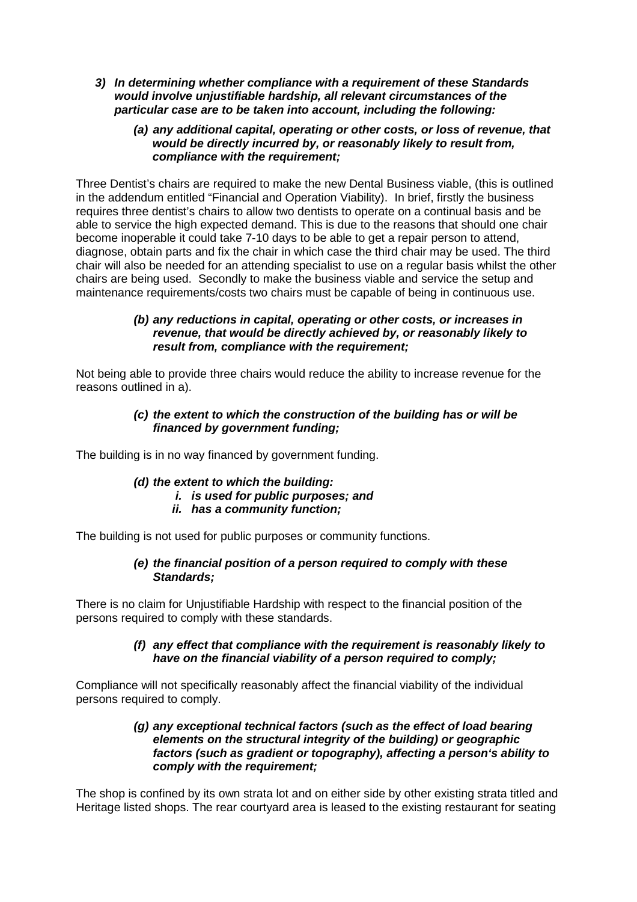- *3) In determining whether compliance with a requirement of these Standards would involve unjustifiable hardship, all relevant circumstances of the particular case are to be taken into account, including the following:*
	- *(a) any additional capital, operating or other costs, or loss of revenue, that would be directly incurred by, or reasonably likely to result from, compliance with the requirement;*

Three Dentist's chairs are required to make the new Dental Business viable, (this is outlined in the addendum entitled "Financial and Operation Viability). In brief, firstly the business requires three dentist's chairs to allow two dentists to operate on a continual basis and be able to service the high expected demand. This is due to the reasons that should one chair become inoperable it could take 7-10 days to be able to get a repair person to attend, diagnose, obtain parts and fix the chair in which case the third chair may be used. The third chair will also be needed for an attending specialist to use on a regular basis whilst the other chairs are being used. Secondly to make the business viable and service the setup and maintenance requirements/costs two chairs must be capable of being in continuous use.

### *(b) any reductions in capital, operating or other costs, or increases in revenue, that would be directly achieved by, or reasonably likely to result from, compliance with the requirement;*

Not being able to provide three chairs would reduce the ability to increase revenue for the reasons outlined in a).

### *(c) the extent to which the construction of the building has or will be financed by government funding;*

The building is in no way financed by government funding.

#### *(d) the extent to which the building: i. is used for public purposes; and*

*ii. has a community function;*

The building is not used for public purposes or community functions.

### *(e) the financial position of a person required to comply with these Standards;*

There is no claim for Unjustifiable Hardship with respect to the financial position of the persons required to comply with these standards.

### *(f) any effect that compliance with the requirement is reasonably likely to have on the financial viability of a person required to comply;*

Compliance will not specifically reasonably affect the financial viability of the individual persons required to comply.

### *(g) any exceptional technical factors (such as the effect of load bearing elements on the structural integrity of the building) or geographic factors (such as gradient or topography), affecting a person's ability to comply with the requirement;*

The shop is confined by its own strata lot and on either side by other existing strata titled and Heritage listed shops. The rear courtyard area is leased to the existing restaurant for seating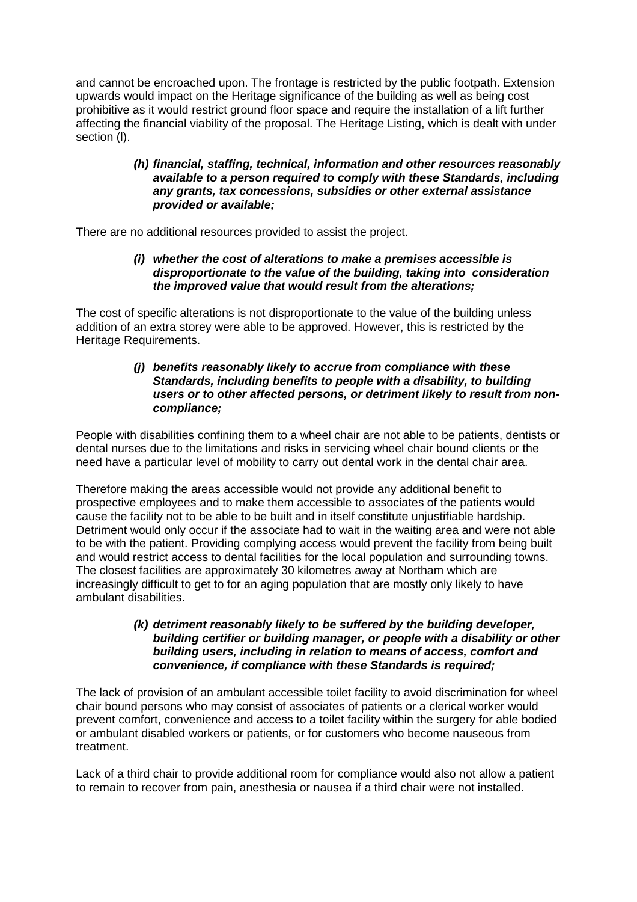and cannot be encroached upon. The frontage is restricted by the public footpath. Extension upwards would impact on the Heritage significance of the building as well as being cost prohibitive as it would restrict ground floor space and require the installation of a lift further affecting the financial viability of the proposal. The Heritage Listing, which is dealt with under section (l).

### *(h) financial, staffing, technical, information and other resources reasonably available to a person required to comply with these Standards, including any grants, tax concessions, subsidies or other external assistance provided or available;*

There are no additional resources provided to assist the project.

### *(i) whether the cost of alterations to make a premises accessible is disproportionate to the value of the building, taking into consideration the improved value that would result from the alterations;*

The cost of specific alterations is not disproportionate to the value of the building unless addition of an extra storey were able to be approved. However, this is restricted by the Heritage Requirements.

### *(j) benefits reasonably likely to accrue from compliance with these Standards, including benefits to people with a disability, to building users or to other affected persons, or detriment likely to result from noncompliance;*

People with disabilities confining them to a wheel chair are not able to be patients, dentists or dental nurses due to the limitations and risks in servicing wheel chair bound clients or the need have a particular level of mobility to carry out dental work in the dental chair area.

Therefore making the areas accessible would not provide any additional benefit to prospective employees and to make them accessible to associates of the patients would cause the facility not to be able to be built and in itself constitute unjustifiable hardship. Detriment would only occur if the associate had to wait in the waiting area and were not able to be with the patient. Providing complying access would prevent the facility from being built and would restrict access to dental facilities for the local population and surrounding towns. The closest facilities are approximately 30 kilometres away at Northam which are increasingly difficult to get to for an aging population that are mostly only likely to have ambulant disabilities.

### *(k) detriment reasonably likely to be suffered by the building developer, building certifier or building manager, or people with a disability or other building users, including in relation to means of access, comfort and convenience, if compliance with these Standards is required;*

The lack of provision of an ambulant accessible toilet facility to avoid discrimination for wheel chair bound persons who may consist of associates of patients or a clerical worker would prevent comfort, convenience and access to a toilet facility within the surgery for able bodied or ambulant disabled workers or patients, or for customers who become nauseous from treatment.

Lack of a third chair to provide additional room for compliance would also not allow a patient to remain to recover from pain, anesthesia or nausea if a third chair were not installed.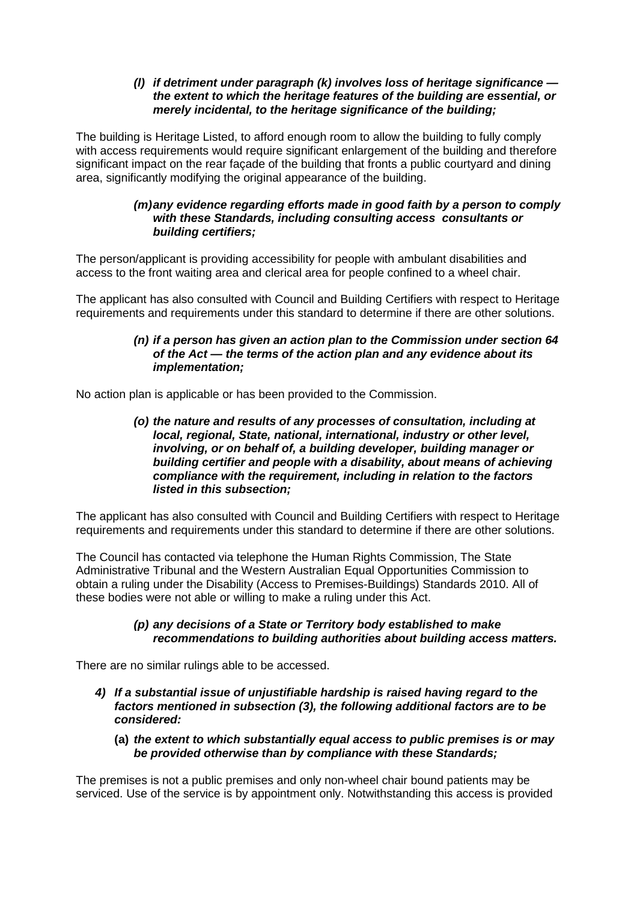### *(l) if detriment under paragraph (k) involves loss of heritage significance the extent to which the heritage features of the building are essential, or merely incidental, to the heritage significance of the building;*

The building is Heritage Listed, to afford enough room to allow the building to fully comply with access requirements would require significant enlargement of the building and therefore significant impact on the rear façade of the building that fronts a public courtyard and dining area, significantly modifying the original appearance of the building.

### *(m)any evidence regarding efforts made in good faith by a person to comply with these Standards, including consulting access consultants or building certifiers;*

The person/applicant is providing accessibility for people with ambulant disabilities and access to the front waiting area and clerical area for people confined to a wheel chair.

The applicant has also consulted with Council and Building Certifiers with respect to Heritage requirements and requirements under this standard to determine if there are other solutions.

### *(n) if a person has given an action plan to the Commission under section 64 of the Act — the terms of the action plan and any evidence about its implementation;*

No action plan is applicable or has been provided to the Commission.

*(o) the nature and results of any processes of consultation, including at local, regional, State, national, international, industry or other level, involving, or on behalf of, a building developer, building manager or building certifier and people with a disability, about means of achieving compliance with the requirement, including in relation to the factors listed in this subsection;*

The applicant has also consulted with Council and Building Certifiers with respect to Heritage requirements and requirements under this standard to determine if there are other solutions.

The Council has contacted via telephone the Human Rights Commission, The State Administrative Tribunal and the Western Australian Equal Opportunities Commission to obtain a ruling under the Disability (Access to Premises-Buildings) Standards 2010. All of these bodies were not able or willing to make a ruling under this Act.

### *(p) any decisions of a State or Territory body established to make recommendations to building authorities about building access matters.*

There are no similar rulings able to be accessed.

- *4) If a substantial issue of unjustifiable hardship is raised having regard to the factors mentioned in subsection (3), the following additional factors are to be considered:*
	- **(a)** *the extent to which substantially equal access to public premises is or may be provided otherwise than by compliance with these Standards;*

The premises is not a public premises and only non-wheel chair bound patients may be serviced. Use of the service is by appointment only. Notwithstanding this access is provided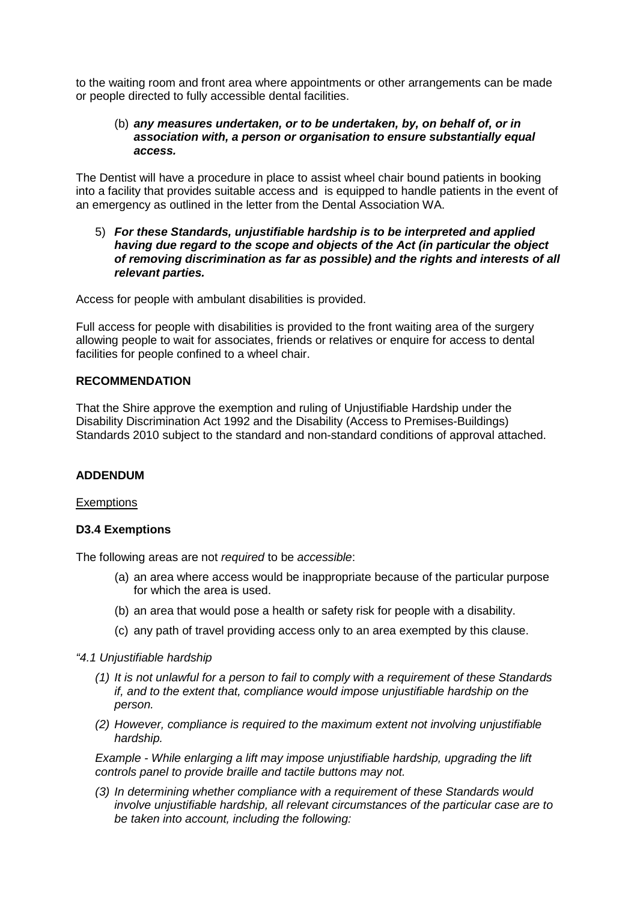to the waiting room and front area where appointments or other arrangements can be made or people directed to fully accessible dental facilities.

#### (b) *any measures undertaken, or to be undertaken, by, on behalf of, or in association with, a person or organisation to ensure substantially equal access.*

The Dentist will have a procedure in place to assist wheel chair bound patients in booking into a facility that provides suitable access and is equipped to handle patients in the event of an emergency as outlined in the letter from the Dental Association WA.

#### 5) *For these Standards, unjustifiable hardship is to be interpreted and applied having due regard to the scope and objects of the Act (in particular the object of removing discrimination as far as possible) and the rights and interests of all relevant parties.*

Access for people with ambulant disabilities is provided.

Full access for people with disabilities is provided to the front waiting area of the surgery allowing people to wait for associates, friends or relatives or enquire for access to dental facilities for people confined to a wheel chair.

### **RECOMMENDATION**

That the Shire approve the exemption and ruling of Unjustifiable Hardship under the Disability Discrimination Act 1992 and the Disability (Access to Premises-Buildings) Standards 2010 subject to the standard and non-standard conditions of approval attached.

#### **ADDENDUM**

#### **Exemptions**

#### **D3.4 Exemptions**

The following areas are not *required* to be *accessible*:

- (a) an area where access would be inappropriate because of the particular purpose for which the area is used.
- (b) an area that would pose a health or safety risk for people with a disability.
- (c) any path of travel providing access only to an area exempted by this clause.
- *"4.1 Unjustifiable hardship*
	- *(1) It is not unlawful for a person to fail to comply with a requirement of these Standards if, and to the extent that, compliance would impose unjustifiable hardship on the person.*
	- *(2) However, compliance is required to the maximum extent not involving unjustifiable hardship.*

*Example - While enlarging a lift may impose unjustifiable hardship, upgrading the lift controls panel to provide braille and tactile buttons may not.*

*(3) In determining whether compliance with a requirement of these Standards would involve unjustifiable hardship, all relevant circumstances of the particular case are to be taken into account, including the following:*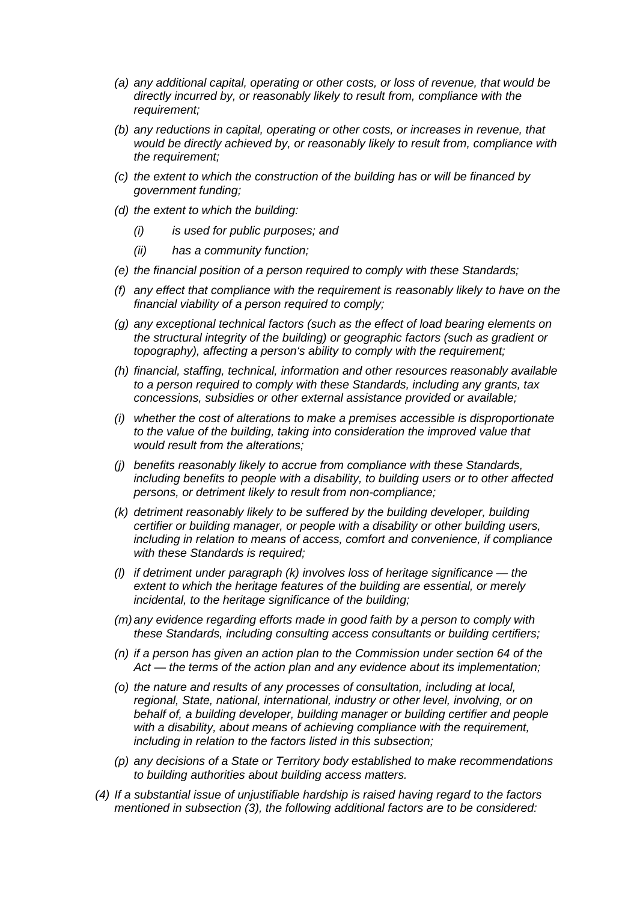- *(a) any additional capital, operating or other costs, or loss of revenue, that would be directly incurred by, or reasonably likely to result from, compliance with the requirement;*
- *(b) any reductions in capital, operating or other costs, or increases in revenue, that would be directly achieved by, or reasonably likely to result from, compliance with the requirement;*
- *(c) the extent to which the construction of the building has or will be financed by government funding;*
- *(d) the extent to which the building:*
	- *(i) is used for public purposes; and*
	- *(ii) has a community function;*
- *(e) the financial position of a person required to comply with these Standards;*
- *(f) any effect that compliance with the requirement is reasonably likely to have on the financial viability of a person required to comply;*
- *(g) any exceptional technical factors (such as the effect of load bearing elements on the structural integrity of the building) or geographic factors (such as gradient or topography), affecting a person's ability to comply with the requirement;*
- *(h) financial, staffing, technical, information and other resources reasonably available to a person required to comply with these Standards, including any grants, tax concessions, subsidies or other external assistance provided or available;*
- *(i) whether the cost of alterations to make a premises accessible is disproportionate to the value of the building, taking into consideration the improved value that would result from the alterations;*
- *(j) benefits reasonably likely to accrue from compliance with these Standards, including benefits to people with a disability, to building users or to other affected persons, or detriment likely to result from non-compliance;*
- *(k) detriment reasonably likely to be suffered by the building developer, building certifier or building manager, or people with a disability or other building users, including in relation to means of access, comfort and convenience, if compliance with these Standards is required;*
- *(l) if detriment under paragraph (k) involves loss of heritage significance the extent to which the heritage features of the building are essential, or merely incidental, to the heritage significance of the building;*
- *(m)any evidence regarding efforts made in good faith by a person to comply with these Standards, including consulting access consultants or building certifiers;*
- *(n) if a person has given an action plan to the Commission under section 64 of the Act — the terms of the action plan and any evidence about its implementation;*
- *(o) the nature and results of any processes of consultation, including at local, regional, State, national, international, industry or other level, involving, or on behalf of, a building developer, building manager or building certifier and people with a disability, about means of achieving compliance with the requirement, including in relation to the factors listed in this subsection;*
- *(p) any decisions of a State or Territory body established to make recommendations to building authorities about building access matters.*
- *(4) If a substantial issue of unjustifiable hardship is raised having regard to the factors mentioned in subsection (3), the following additional factors are to be considered:*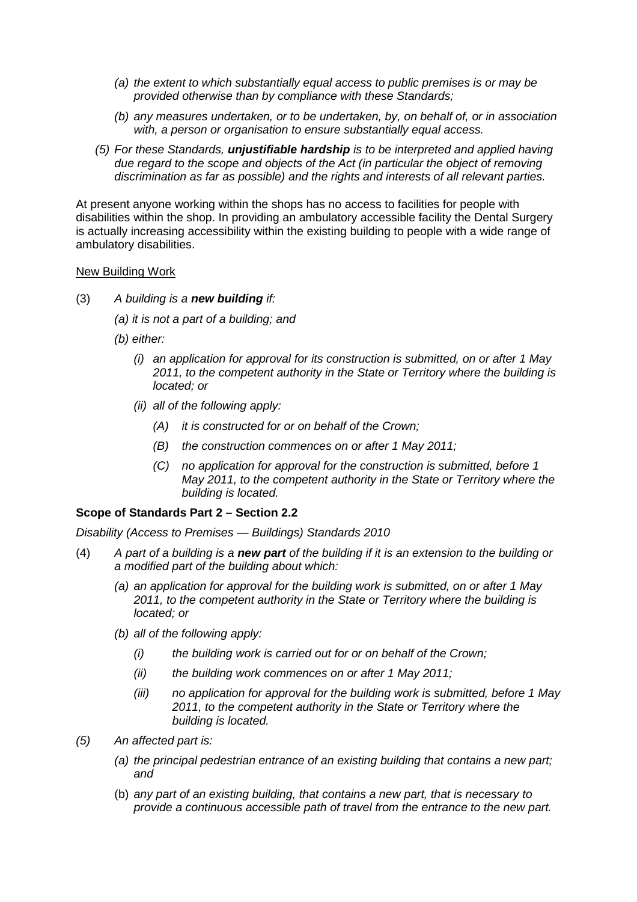- *(a) the extent to which substantially equal access to public premises is or may be provided otherwise than by compliance with these Standards;*
- *(b) any measures undertaken, or to be undertaken, by, on behalf of, or in association with, a person or organisation to ensure substantially equal access.*
- *(5) For these Standards, unjustifiable hardship is to be interpreted and applied having due regard to the scope and objects of the Act (in particular the object of removing discrimination as far as possible) and the rights and interests of all relevant parties.*

At present anyone working within the shops has no access to facilities for people with disabilities within the shop. In providing an ambulatory accessible facility the Dental Surgery is actually increasing accessibility within the existing building to people with a wide range of ambulatory disabilities.

#### New Building Work

- (3) *A building is a new building if:*
	- *(a) it is not a part of a building; and*
	- *(b) either:*
		- *(i) an application for approval for its construction is submitted, on or after 1 May 2011, to the competent authority in the State or Territory where the building is located; or*
		- *(ii) all of the following apply:*
			- *(A) it is constructed for or on behalf of the Crown;*
			- *(B) the construction commences on or after 1 May 2011;*
			- *(C) no application for approval for the construction is submitted, before 1 May 2011, to the competent authority in the State or Territory where the building is located.*

#### **Scope of Standards Part 2 – Section 2.2**

*Disability (Access to Premises — Buildings) Standards 2010*

- (4) *A part of a building is a new part of the building if it is an extension to the building or a modified part of the building about which:*
	- *(a) an application for approval for the building work is submitted, on or after 1 May 2011, to the competent authority in the State or Territory where the building is located; or*
	- *(b) all of the following apply:*
		- *(i) the building work is carried out for or on behalf of the Crown;*
		- *(ii) the building work commences on or after 1 May 2011;*
		- *(iii) no application for approval for the building work is submitted, before 1 May 2011, to the competent authority in the State or Territory where the building is located.*
- *(5) An affected part is:*
	- *(a) the principal pedestrian entrance of an existing building that contains a new part; and*
	- (b) *any part of an existing building, that contains a new part, that is necessary to provide a continuous accessible path of travel from the entrance to the new part.*